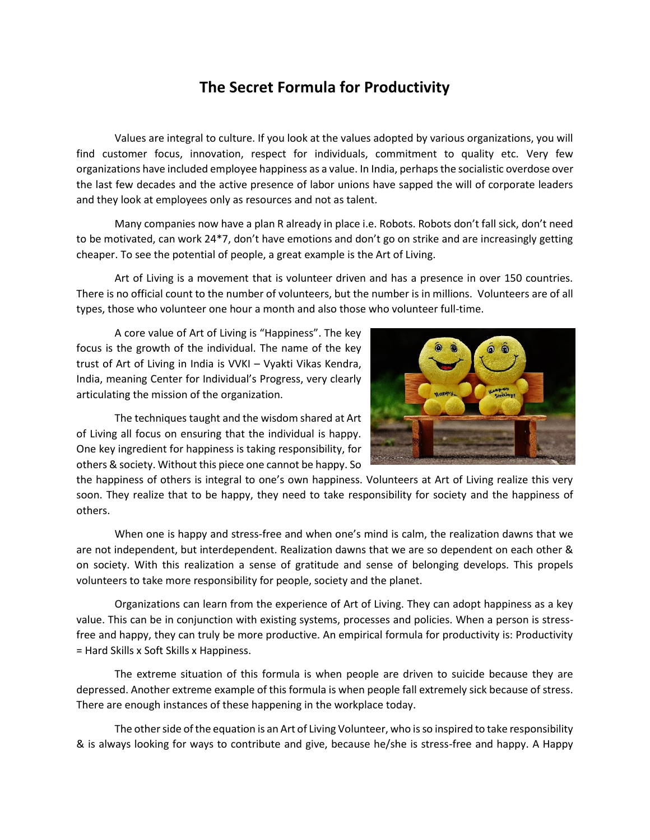## **The Secret Formula for Productivity**

Values are integral to culture. If you look at the values adopted by various organizations, you will find customer focus, innovation, respect for individuals, commitment to quality etc. Very few organizations have included employee happiness as a value. In India, perhaps the socialistic overdose over the last few decades and the active presence of labor unions have sapped the will of corporate leaders and they look at employees only as resources and not as talent.

Many companies now have a plan R already in place i.e. Robots. Robots don't fall sick, don't need to be motivated, can work 24\*7, don't have emotions and don't go on strike and are increasingly getting cheaper. To see the potential of people, a great example is the Art of Living.

Art of Living is a movement that is volunteer driven and has a presence in over 150 countries. There is no official count to the number of volunteers, but the number is in millions. Volunteers are of all types, those who volunteer one hour a month and also those who volunteer full-time.

A core value of Art of Living is "Happiness". The key focus is the growth of the individual. The name of the key trust of Art of Living in India is VVKI – Vyakti Vikas Kendra, India, meaning Center for Individual's Progress, very clearly articulating the mission of the organization.

The techniques taught and the wisdom shared at Art of Living all focus on ensuring that the individual is happy. One key ingredient for happiness is taking responsibility, for others & society. Without this piece one cannot be happy. So



the happiness of others is integral to one's own happiness. Volunteers at Art of Living realize this very soon. They realize that to be happy, they need to take responsibility for society and the happiness of others.

When one is happy and stress-free and when one's mind is calm, the realization dawns that we are not independent, but interdependent. Realization dawns that we are so dependent on each other & on society. With this realization a sense of gratitude and sense of belonging develops. This propels volunteers to take more responsibility for people, society and the planet.

Organizations can learn from the experience of Art of Living. They can adopt happiness as a key value. This can be in conjunction with existing systems, processes and policies. When a person is stressfree and happy, they can truly be more productive. An empirical formula for productivity is: Productivity = Hard Skills x Soft Skills x Happiness.

The extreme situation of this formula is when people are driven to suicide because they are depressed. Another extreme example of this formula is when people fall extremely sick because of stress. There are enough instances of these happening in the workplace today.

The other side of the equation is an Art of Living Volunteer, who is so inspired to take responsibility & is always looking for ways to contribute and give, because he/she is stress-free and happy. A Happy